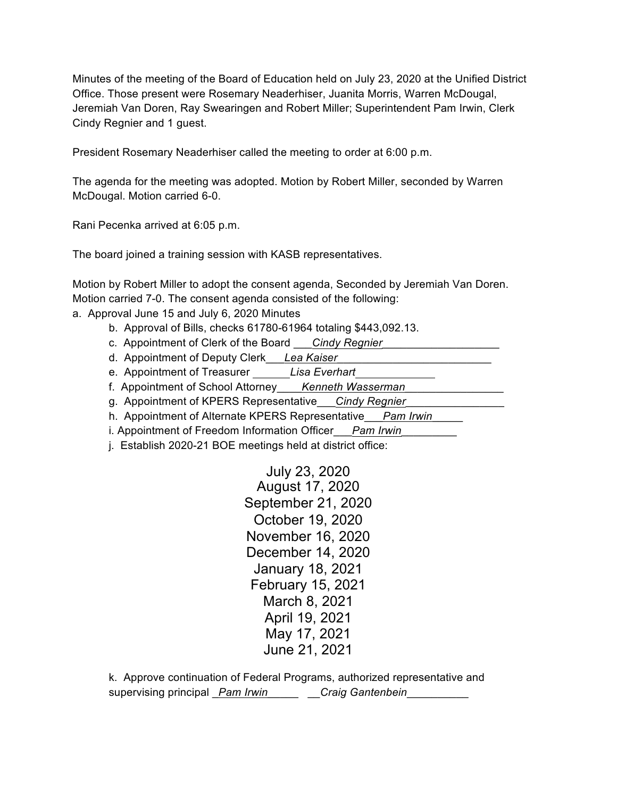Minutes of the meeting of the Board of Education held on July 23, 2020 at the Unified District Office. Those present were Rosemary Neaderhiser, Juanita Morris, Warren McDougal, Jeremiah Van Doren, Ray Swearingen and Robert Miller; Superintendent Pam Irwin, Clerk Cindy Regnier and 1 guest.

President Rosemary Neaderhiser called the meeting to order at 6:00 p.m.

The agenda for the meeting was adopted. Motion by Robert Miller, seconded by Warren McDougal. Motion carried 6-0.

Rani Pecenka arrived at 6:05 p.m.

The board joined a training session with KASB representatives.

Motion by Robert Miller to adopt the consent agenda, Seconded by Jeremiah Van Doren. Motion carried 7-0. The consent agenda consisted of the following:

- a. Approval June 15 and July 6, 2020 Minutes
	- b. Approval of Bills, checks 61780-61964 totaling \$443,092.13.
	- c. Appointment of Clerk of the Board \_\_\_*Cindy Regnier*\_\_\_\_\_\_\_\_\_\_\_\_\_\_\_\_\_\_\_
	- d. Appointment of Deputy Clerk\_\_\_*Lea Kaiser*\_\_\_\_\_\_\_\_\_\_\_\_\_\_\_\_\_\_\_\_\_\_\_\_\_
	- e. Appointment of Treasurer *Lisa Everhart*
	- f. Appointment of School Attorney\_\_\_\_*Kenneth Wasserman*\_\_\_\_\_\_\_\_\_\_\_\_\_\_\_\_
	- g. Appointment of KPERS Representative\_\_\_*Cindy Regnier*\_\_\_\_\_\_\_\_\_\_\_\_\_\_\_\_
	- h. Appointment of Alternate KPERS Representative\_\_\_*Pam Irwin*\_\_\_\_\_
	- i. Appointment of Freedom Information Officer\_\_\_*Pam Irwin*\_\_\_\_\_\_\_\_\_
	- j. Establish 2020-21 BOE meetings held at district office:

July 23, 2020 August 17, 2020 September 21, 2020 October 19, 2020 November 16, 2020 December 14, 2020 January 18, 2021 February 15, 2021 March 8, 2021 April 19, 2021 May 17, 2021 June 21, 2021

k. Approve continuation of Federal Programs, authorized representative and supervising principal \_*Pam Irwin*\_\_\_\_\_ \_\_*Craig Gantenbein*\_\_\_\_\_\_\_\_\_\_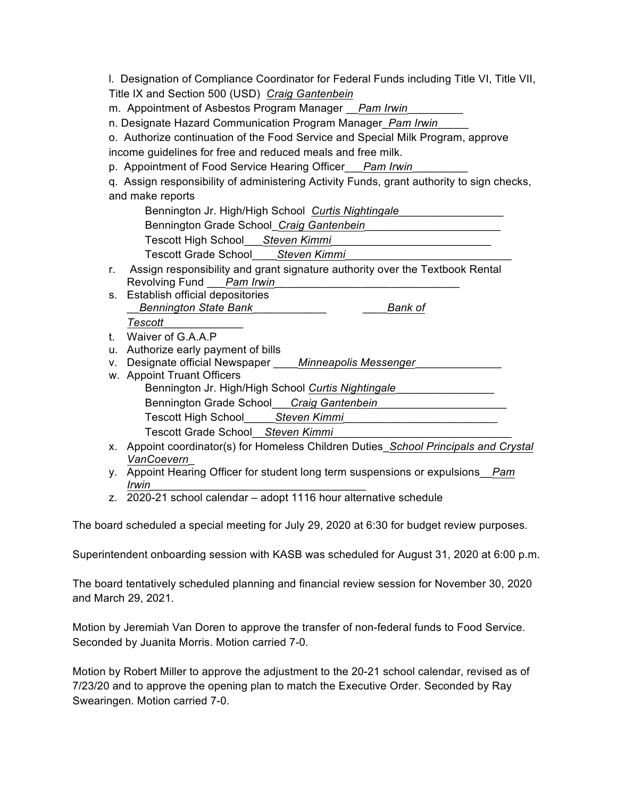l. Designation of Compliance Coordinator for Federal Funds including Title VI, Title VII, Title IX and Section 500 (USD) *Craig Gantenbein*

m. Appointment of Asbestos Program Manager \_\_*Pam Irwin*\_\_\_\_\_\_\_\_\_

n. Designate Hazard Communication Program Manager\_*Pam Irwin*\_\_\_\_\_

o. Authorize continuation of the Food Service and Special Milk Program, approve income guidelines for free and reduced meals and free milk.

p. Appointment of Food Service Hearing Officer\_\_\_*Pam Irwin*\_\_\_\_\_\_\_\_\_

q. Assign responsibility of administering Activity Funds, grant authority to sign checks, and make reports

Bennington Jr. High/High School *Curtis Nightingale*\_\_\_\_\_\_\_\_\_\_\_\_\_\_\_\_\_

Bennington Grade School\_*Craig Gantenbein*\_\_\_\_\_\_\_\_\_\_\_\_\_\_\_\_\_\_\_\_\_\_

Tescott High School\_\_\_*Steven Kimmi*\_\_\_\_\_\_\_\_\_\_\_\_\_\_\_\_\_\_\_\_\_\_\_\_\_\_

Tescott Grade School\_\_\_\_*Steven Kimmi*\_\_\_\_\_\_\_\_\_\_\_\_\_\_\_\_\_\_\_\_\_\_\_\_\_\_\_

- r. Assign responsibility and grant signature authority over the Textbook Rental Revolving Fund Pam Irwin
- s. Establish official depositories \_\_*Bennington State Bank*\_\_\_\_\_\_\_\_\_\_\_\_ \_\_\_\_*Bank of*

*Tescott*\_\_\_\_\_\_\_\_\_\_\_\_\_

- t. Waiver of G.A.A.P
- u. Authorize early payment of bills
- v. Designate official Newspaper \_\_\_\_*Minneapolis Messenger*
- w. Appoint Truant Officers Bennington Jr. High/High School *Curtis Nightingale*\_\_\_\_\_\_\_\_\_\_\_\_\_\_\_\_ Bennington Grade School\_\_\_*Craig Gantenbein*\_\_\_\_\_\_\_\_\_\_\_\_\_\_\_\_\_\_\_\_\_ Tescott High School\_\_\_\_\_*Steven Kimmi*\_\_\_\_\_\_\_\_\_\_\_\_\_\_\_\_\_\_\_\_\_\_\_\_\_ Tescott Grade School\_\_*Steven Kimmi*\_\_\_\_\_\_\_\_\_\_\_\_\_\_\_\_\_\_\_\_\_\_\_\_\_\_\_\_\_
- x. Appoint coordinator(s) for Homeless Children Duties\_*School Principals and Crystal VanCoevern*\_
- y. Appoint Hearing Officer for student long term suspensions or expulsions\_\_*Pam Irwin*\_\_\_\_\_\_\_\_\_\_\_\_\_\_\_\_\_\_\_\_\_\_\_\_\_\_\_\_\_\_\_\_\_\_\_

z. 2020-21 school calendar – adopt 1116 hour alternative schedule

The board scheduled a special meeting for July 29, 2020 at 6:30 for budget review purposes.

Superintendent onboarding session with KASB was scheduled for August 31, 2020 at 6:00 p.m.

The board tentatively scheduled planning and financial review session for November 30, 2020 and March 29, 2021.

Motion by Jeremiah Van Doren to approve the transfer of non-federal funds to Food Service. Seconded by Juanita Morris. Motion carried 7-0.

Motion by Robert Miller to approve the adjustment to the 20-21 school calendar, revised as of 7/23/20 and to approve the opening plan to match the Executive Order. Seconded by Ray Swearingen. Motion carried 7-0.